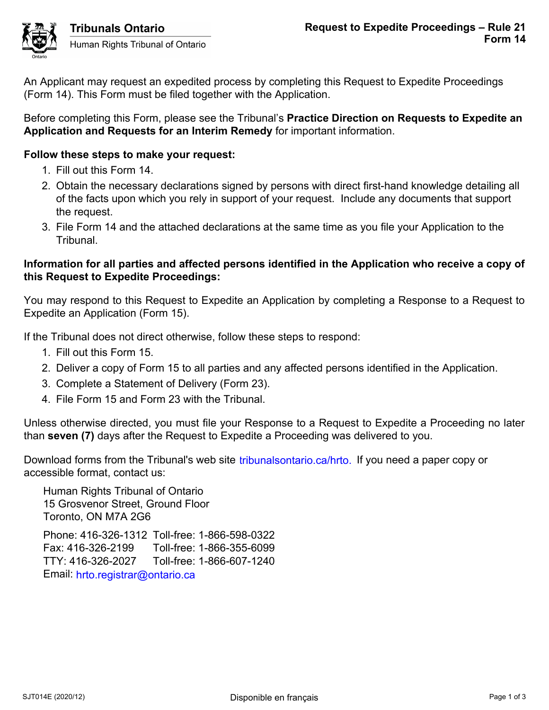

### Before completing this Form, please see the Tribunal's **Practice Direction on Requests to Expedite an Application and Requests for an Interim Remedy** for important information.

# **Follow these steps to make your request:**

- 1. Fill out this Form 14.
- 2. Obtain the necessary declarations signed by persons with direct first-hand knowledge detailing all of the facts upon which you rely in support of your request. Include any documents that support the request.
- 3. File Form 14 and the attached declarations at the same time as you file your Application to the Tribunal.

# **Information for all parties and affected persons identified in the Application who receive a copy of this Request to Expedite Proceedings:**

You may respond to this Request to Expedite an Application by completing a Response to a Request to Expedite an Application (Form 15).

If the Tribunal does not direct otherwise, follow these steps to respond:

- 1. Fill out this Form 15.
- 2. Deliver a copy of Form 15 to all parties and any affected persons identified in the Application.
- 3. Complete a Statement of Delivery (Form 23).
- 4. File Form 15 and Form 23 with the Tribunal.

Unless otherwise directed, you must file your Response to a Request to Expedite a Proceeding no later than **seven (7)** days after the Request to Expedite a Proceeding was delivered to you.

Download forms from the Tribunal's web site tribunalsontario.ca/hrto. If you need a paper copy or accessible format, contact us:

Human Rights Tribunal of Ontario 15 Grosvenor Street, Ground Floor Toronto, ON M7A 2G6

Phone: 416-326-1312 Toll-free: 1-866-598-0322 Fax: 416-326-2199 Toll-free: 1-866-355-6099 TTY: 416-326-2027 Toll-free: 1-866-607-1240 Email: hrto.registrar@ontario.ca forms from the Tribunal's web site tribunalsontario.ca/hrto. If you need a paper copy or<br>
Format, contact us:<br>
Rights Tribunal of Ontario<br>
syenor Street, Ground Floor<br>
9, ON M7A 2G6<br>
1416-326-1312 Toll-free: 1-866-598-0322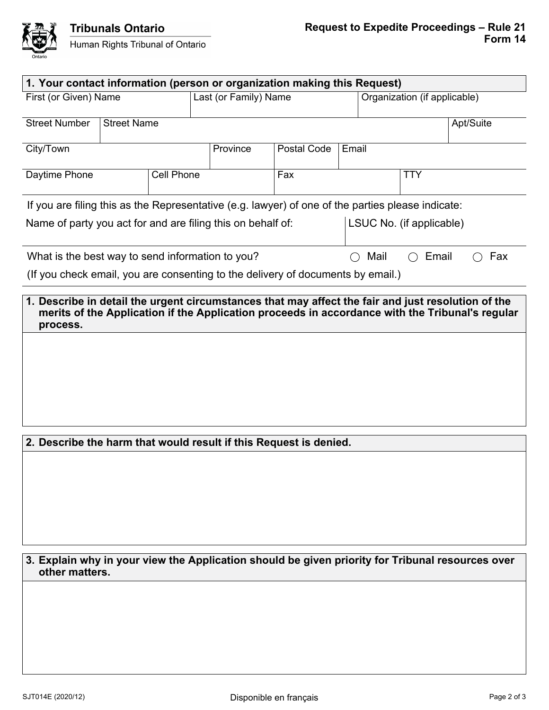

| 1. Your contact information (person or organization making this Request)                                           |  |  |                       |          |             |       |                              |       |                                                                                                 |  |  |
|--------------------------------------------------------------------------------------------------------------------|--|--|-----------------------|----------|-------------|-------|------------------------------|-------|-------------------------------------------------------------------------------------------------|--|--|
| First (or Given) Name                                                                                              |  |  | Last (or Family) Name |          |             |       | Organization (if applicable) |       |                                                                                                 |  |  |
| <b>Street Number</b><br><b>Street Name</b>                                                                         |  |  |                       |          |             |       |                              |       | Apt/Suite                                                                                       |  |  |
| City/Town                                                                                                          |  |  |                       | Province | Postal Code | Email |                              |       |                                                                                                 |  |  |
| Daytime Phone<br><b>Cell Phone</b>                                                                                 |  |  |                       |          | Fax         |       | <b>TTY</b>                   |       |                                                                                                 |  |  |
| If you are filing this as the Representative (e.g. lawyer) of one of the parties please indicate:                  |  |  |                       |          |             |       |                              |       |                                                                                                 |  |  |
| Name of party you act for and are filing this on behalf of:                                                        |  |  |                       |          |             |       | LSUC No. (if applicable)     |       |                                                                                                 |  |  |
| What is the best way to send information to you?<br>Mail<br>$($ )                                                  |  |  |                       |          |             |       |                              | Email | Fax                                                                                             |  |  |
| (If you check email, you are consenting to the delivery of documents by email.)                                    |  |  |                       |          |             |       |                              |       |                                                                                                 |  |  |
| 1. Describe in detail the urgent circumstances that may affect the fair and just resolution of the<br>process.     |  |  |                       |          |             |       |                              |       | merits of the Application if the Application proceeds in accordance with the Tribunal's regular |  |  |
| 2. Describe the harm that would result if this Request is denied.                                                  |  |  |                       |          |             |       |                              |       |                                                                                                 |  |  |
|                                                                                                                    |  |  |                       |          |             |       |                              |       |                                                                                                 |  |  |
| 3. Explain why in your view the Application should be given priority for Tribunal resources over<br>other matters. |  |  |                       |          |             |       |                              |       |                                                                                                 |  |  |
|                                                                                                                    |  |  |                       |          |             |       |                              |       |                                                                                                 |  |  |